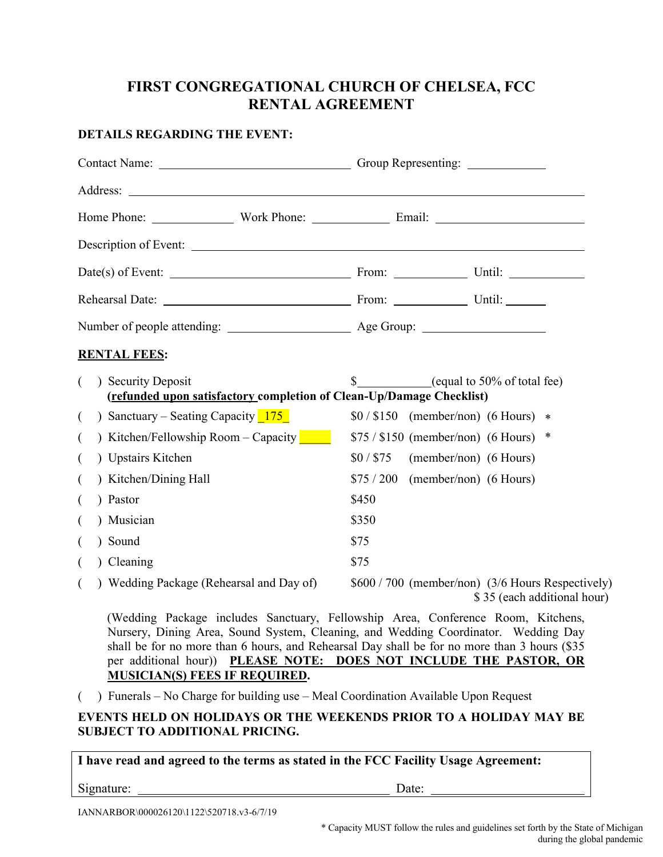#### **FIRST CONGREGATIONAL CHURCH OF CHELSEA, FCC RENTAL AGREEMENT**

#### **DETAILS REGARDING THE EVENT:**

| Description of Event:                                                                      |                                                                                  |
|--------------------------------------------------------------------------------------------|----------------------------------------------------------------------------------|
|                                                                                            |                                                                                  |
|                                                                                            |                                                                                  |
|                                                                                            |                                                                                  |
| <b>RENTAL FEES:</b>                                                                        |                                                                                  |
| ) Security Deposit<br>(refunded upon satisfactory completion of Clean-Up/Damage Checklist) | $\$\$ (equal to 50% of total fee)                                                |
| ) Sanctuary – Seating Capacity $175$<br>$\left($                                           | $$0/$150$ (member/non) (6 Hours) *                                               |
| ) Kitchen/Fellowship Room - Capacity<br>$\overline{ }$                                     | $$75 / $150$ (member/non) (6 Hours) *                                            |
| ) Upstairs Kitchen<br>$\left($                                                             | \$0/ \$75<br>(member/non) (6 Hours)                                              |
| ) Kitchen/Dining Hall                                                                      | $$75 / 200$ (member/non) (6 Hours)                                               |
| ) Pastor<br>$\left($                                                                       | \$450                                                                            |
| ) Musician<br>$\left($                                                                     | \$350                                                                            |
| Sound                                                                                      | \$75                                                                             |
| ) Cleaning<br>$\left($                                                                     | \$75                                                                             |
| ) Wedding Package (Rehearsal and Day of)<br>$\left($                                       | \$600 / 700 (member/non) (3/6 Hours Respectively)<br>\$35 (each additional hour) |

(Wedding Package includes Sanctuary, Fellowship Area, Conference Room, Kitchens, Nursery, Dining Area, Sound System, Cleaning, and Wedding Coordinator. Wedding Day shall be for no more than 6 hours, and Rehearsal Day shall be for no more than 3 hours (\$35 per additional hour)) **PLEASE NOTE: DOES NOT INCLUDE THE PASTOR, OR MUSICIAN(S) FEES IF REQUIRED.** 

( ) Funerals – No Charge for building use – Meal Coordination Available Upon Request

#### **EVENTS HELD ON HOLIDAYS OR THE WEEKENDS PRIOR TO A HOLIDAY MAY BE SUBJECT TO ADDITIONAL PRICING.**

**I have read and agreed to the terms as stated in the FCC Facility Usage Agreement:**

Signature: Date: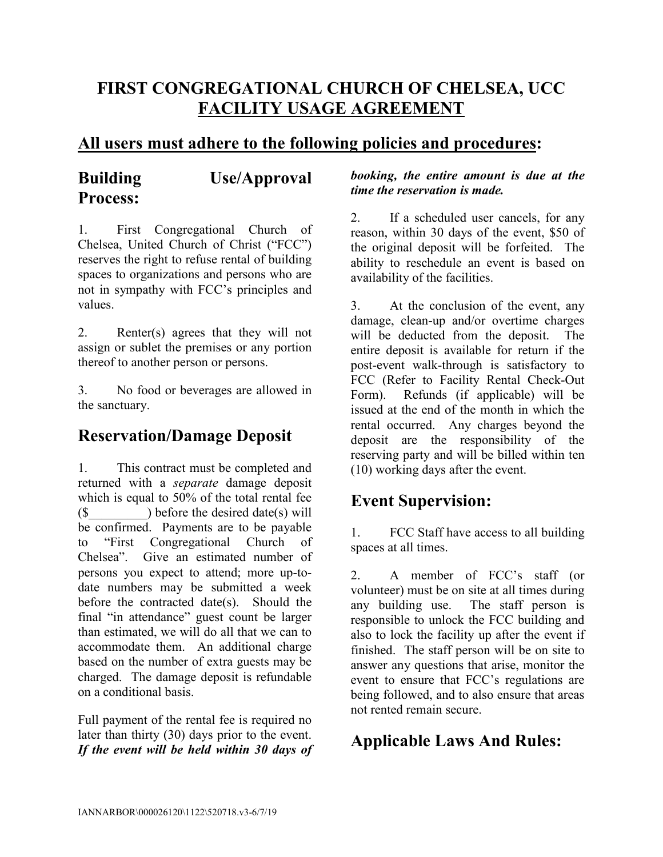# **FIRST CONGREGATIONAL CHURCH OF CHELSEA, UCC FACILITY USAGE AGREEMENT**

### **All users must adhere to the following policies and procedures:**

# **Building Use/Approval Process:**

1. First Congregational Church of Chelsea, United Church of Christ ("FCC") reserves the right to refuse rental of building spaces to organizations and persons who are not in sympathy with FCC's principles and values.

2. Renter(s) agrees that they will not assign or sublet the premises or any portion thereof to another person or persons.

3. No food or beverages are allowed in the sanctuary.

## **Reservation/Damage Deposit**

1. This contract must be completed and returned with a *separate* damage deposit which is equal to 50% of the total rental fee  $(\$$  ) before the desired date(s) will be confirmed. Payments are to be payable to "First Congregational Church of Chelsea". Give an estimated number of persons you expect to attend; more up-todate numbers may be submitted a week before the contracted date(s). Should the final "in attendance" guest count be larger than estimated, we will do all that we can to accommodate them. An additional charge based on the number of extra guests may be charged. The damage deposit is refundable on a conditional basis.

Full payment of the rental fee is required no later than thirty (30) days prior to the event. *If the event will be held within 30 days of* 

#### *booking, the entire amount is due at the time the reservation is made.*

2. If a scheduled user cancels, for any reason, within 30 days of the event, \$50 of the original deposit will be forfeited. The ability to reschedule an event is based on availability of the facilities.

3. At the conclusion of the event, any damage, clean-up and/or overtime charges will be deducted from the deposit. The entire deposit is available for return if the post-event walk-through is satisfactory to FCC (Refer to Facility Rental Check-Out Form). Refunds (if applicable) will be issued at the end of the month in which the rental occurred. Any charges beyond the deposit are the responsibility of the reserving party and will be billed within ten (10) working days after the event.

# **Event Supervision:**

1. FCC Staff have access to all building spaces at all times.

2. A member of FCC's staff (or volunteer) must be on site at all times during any building use. The staff person is responsible to unlock the FCC building and also to lock the facility up after the event if finished. The staff person will be on site to answer any questions that arise, monitor the event to ensure that FCC's regulations are being followed, and to also ensure that areas not rented remain secure.

# **Applicable Laws And Rules:**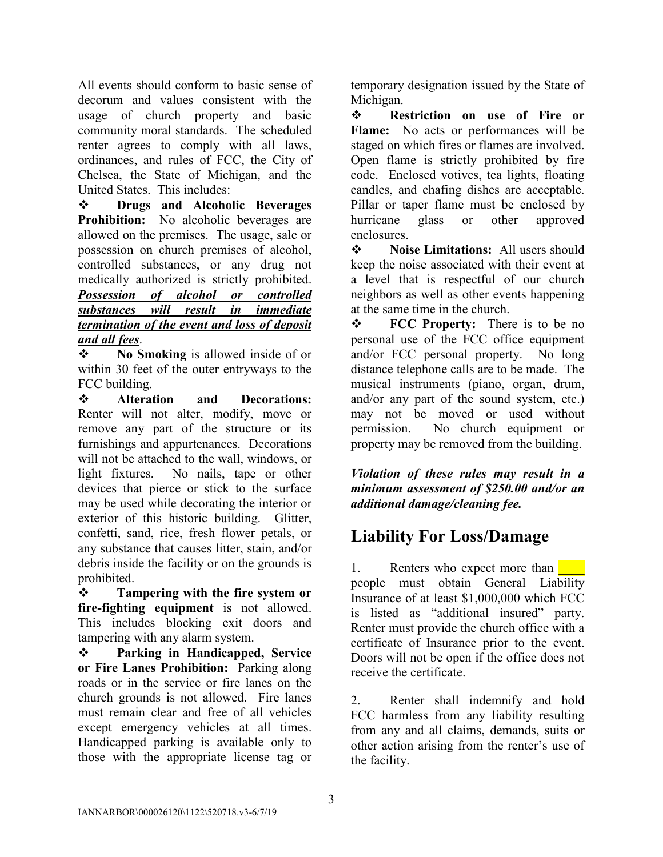All events should conform to basic sense of decorum and values consistent with the usage of church property and basic community moral standards. The scheduled renter agrees to comply with all laws, ordinances, and rules of FCC, the City of Chelsea, the State of Michigan, and the United States. This includes:

 **Drugs and Alcoholic Beverages Prohibition:** No alcoholic beverages are allowed on the premises. The usage, sale or possession on church premises of alcohol, controlled substances, or any drug not medically authorized is strictly prohibited. *Possession of alcohol or controlled substances will result in immediate termination of the event and loss of deposit and all fees*.

 **No Smoking** is allowed inside of or within 30 feet of the outer entryways to the FCC building.

 **Alteration and Decorations:** Renter will not alter, modify, move or remove any part of the structure or its furnishings and appurtenances. Decorations will not be attached to the wall, windows, or light fixtures. No nails, tape or other devices that pierce or stick to the surface may be used while decorating the interior or exterior of this historic building. Glitter, confetti, sand, rice, fresh flower petals, or any substance that causes litter, stain, and/or debris inside the facility or on the grounds is prohibited.

 **Tampering with the fire system or fire-fighting equipment** is not allowed. This includes blocking exit doors and tampering with any alarm system.

 **Parking in Handicapped, Service or Fire Lanes Prohibition:** Parking along roads or in the service or fire lanes on the church grounds is not allowed. Fire lanes must remain clear and free of all vehicles except emergency vehicles at all times. Handicapped parking is available only to those with the appropriate license tag or

temporary designation issued by the State of Michigan.

 **Restriction on use of Fire or Flame:** No acts or performances will be staged on which fires or flames are involved. Open flame is strictly prohibited by fire code. Enclosed votives, tea lights, floating candles, and chafing dishes are acceptable. Pillar or taper flame must be enclosed by hurricane glass or other approved enclosures.

**❖** Noise Limitations: All users should keep the noise associated with their event at a level that is respectful of our church neighbors as well as other events happening at the same time in the church.

 **FCC Property:** There is to be no personal use of the FCC office equipment and/or FCC personal property. No long distance telephone calls are to be made. The musical instruments (piano, organ, drum, and/or any part of the sound system, etc.) may not be moved or used without permission. No church equipment or property may be removed from the building.

*Violation of these rules may result in a minimum assessment of \$250.00 and/or an additional damage/cleaning fee.*

## **Liability For Loss/Damage**

1. Renters who expect more than people must obtain General Liability Insurance of at least \$1,000,000 which FCC is listed as "additional insured" party. Renter must provide the church office with a certificate of Insurance prior to the event. Doors will not be open if the office does not receive the certificate.

2. Renter shall indemnify and hold FCC harmless from any liability resulting from any and all claims, demands, suits or other action arising from the renter's use of the facility.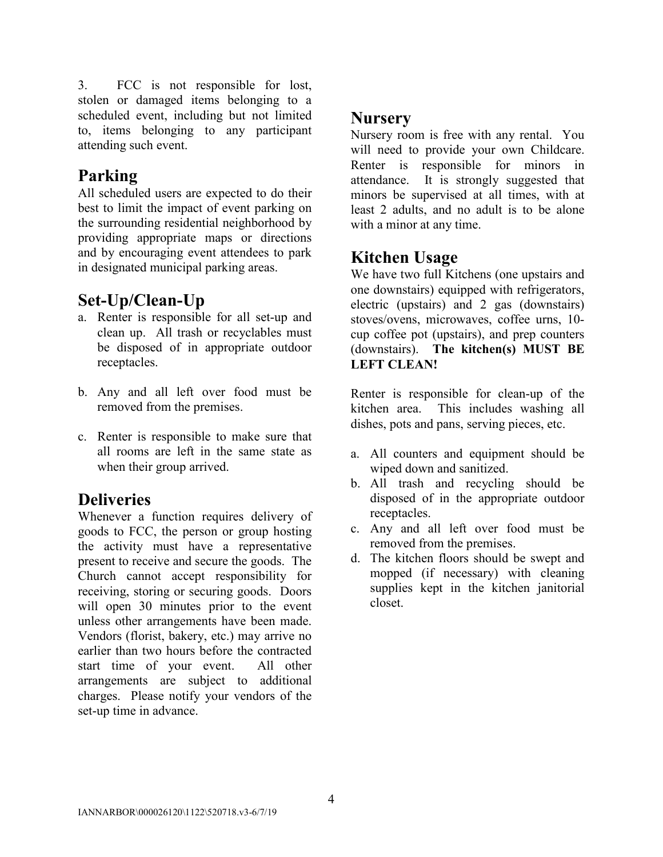3. FCC is not responsible for lost, stolen or damaged items belonging to a scheduled event, including but not limited to, items belonging to any participant attending such event.

## **Parking**

All scheduled users are expected to do their best to limit the impact of event parking on the surrounding residential neighborhood by providing appropriate maps or directions and by encouraging event attendees to park in designated municipal parking areas.

# **Set-Up/Clean-Up**

- a. Renter is responsible for all set-up and clean up. All trash or recyclables must be disposed of in appropriate outdoor receptacles.
- b. Any and all left over food must be removed from the premises.
- c. Renter is responsible to make sure that all rooms are left in the same state as when their group arrived.

# **Deliveries**

Whenever a function requires delivery of goods to FCC, the person or group hosting the activity must have a representative present to receive and secure the goods. The Church cannot accept responsibility for receiving, storing or securing goods. Doors will open 30 minutes prior to the event unless other arrangements have been made. Vendors (florist, bakery, etc.) may arrive no earlier than two hours before the contracted start time of your event. All other arrangements are subject to additional charges. Please notify your vendors of the set-up time in advance.

## **Nursery**

Nursery room is free with any rental. You will need to provide your own Childcare. Renter is responsible for minors in attendance. It is strongly suggested that minors be supervised at all times, with at least 2 adults, and no adult is to be alone with a minor at any time.

# **Kitchen Usage**

We have two full Kitchens (one upstairs and one downstairs) equipped with refrigerators, electric (upstairs) and 2 gas (downstairs) stoves/ovens, microwaves, coffee urns, 10 cup coffee pot (upstairs), and prep counters (downstairs). **The kitchen(s) MUST BE LEFT CLEAN!**

Renter is responsible for clean-up of the kitchen area. This includes washing all dishes, pots and pans, serving pieces, etc.

- a. All counters and equipment should be wiped down and sanitized.
- b. All trash and recycling should be disposed of in the appropriate outdoor receptacles.
- c. Any and all left over food must be removed from the premises.
- d. The kitchen floors should be swept and mopped (if necessary) with cleaning supplies kept in the kitchen janitorial closet.